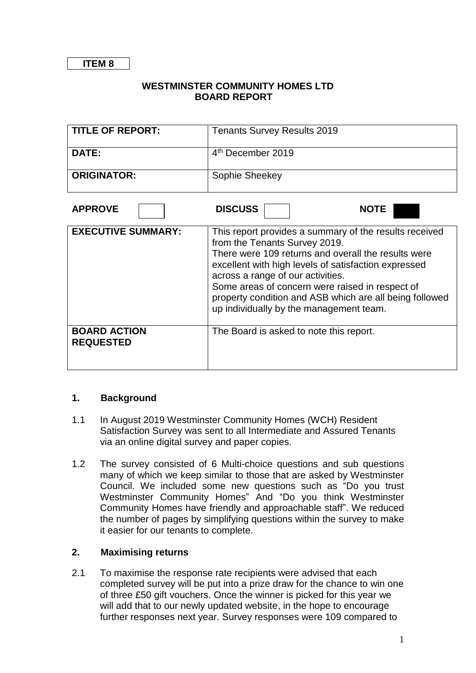#### **WESTMINSTER COMMUNITY HOMES LTD BOARD REPORT**

| <b>TITLE OF REPORT:</b> | <b>Tenants Survey Results 2019</b> |
|-------------------------|------------------------------------|
| <b>DATE:</b>            | 4 <sup>th</sup> December 2019      |
| <b>ORIGINATOR:</b>      | Sophie Sheekey                     |
|                         |                                    |

| <b>APPROVE</b>                          | <b>DISCUSS</b>                                                                                                                                                                                                                                                                                                                                                                                       |  | <b>NOTE</b> |  |
|-----------------------------------------|------------------------------------------------------------------------------------------------------------------------------------------------------------------------------------------------------------------------------------------------------------------------------------------------------------------------------------------------------------------------------------------------------|--|-------------|--|
| <b>EXECUTIVE SUMMARY:</b>               | This report provides a summary of the results received<br>from the Tenants Survey 2019.<br>There were 109 returns and overall the results were<br>excellent with high levels of satisfaction expressed<br>across a range of our activities.<br>Some areas of concern were raised in respect of<br>property condition and ASB which are all being followed<br>up individually by the management team. |  |             |  |
| <b>BOARD ACTION</b><br><b>REQUESTED</b> | The Board is asked to note this report.                                                                                                                                                                                                                                                                                                                                                              |  |             |  |

#### **1. Background**

- 1.1 In August 2019 Westminster Community Homes (WCH) Resident Satisfaction Survey was sent to all Intermediate and Assured Tenants via an online digital survey and paper copies.
- 1.2 The survey consisted of 6 Multi-choice questions and sub questions many of which we keep similar to those that are asked by Westminster Council. We included some new questions such as "Do you trust Westminster Community Homes" And "Do you think Westminster Community Homes have friendly and approachable staff". We reduced the number of pages by simplifying questions within the survey to make it easier for our tenants to complete.

#### **2. Maximising returns**

2.1 To maximise the response rate recipients were advised that each completed survey will be put into a prize draw for the chance to win one of three £50 gift vouchers. Once the winner is picked for this year we will add that to our newly updated website, in the hope to encourage further responses next year. Survey responses were 109 compared to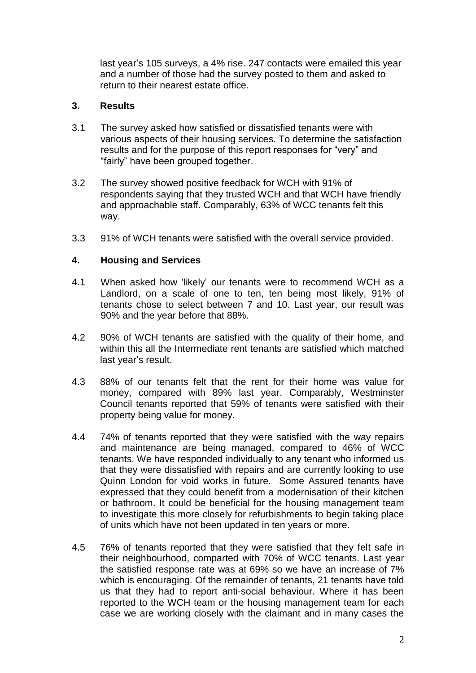last year's 105 surveys, a 4% rise. 247 contacts were emailed this year and a number of those had the survey posted to them and asked to return to their nearest estate office.

### **3. Results**

- 3.1 The survey asked how satisfied or dissatisfied tenants were with various aspects of their housing services. To determine the satisfaction results and for the purpose of this report responses for "very" and "fairly" have been grouped together.
- 3.2 The survey showed positive feedback for WCH with 91% of respondents saying that they trusted WCH and that WCH have friendly and approachable staff. Comparably, 63% of WCC tenants felt this way.
- 3.3 91% of WCH tenants were satisfied with the overall service provided.

# **4. Housing and Services**

- 4.1 When asked how 'likely' our tenants were to recommend WCH as a Landlord, on a scale of one to ten, ten being most likely, 91% of tenants chose to select between 7 and 10. Last year, our result was 90% and the year before that 88%.
- 4.2 90% of WCH tenants are satisfied with the quality of their home, and within this all the Intermediate rent tenants are satisfied which matched last year's result.
- 4.3 88% of our tenants felt that the rent for their home was value for money, compared with 89% last year. Comparably, Westminster Council tenants reported that 59% of tenants were satisfied with their property being value for money.
- 4.4 74% of tenants reported that they were satisfied with the way repairs and maintenance are being managed, compared to 46% of WCC tenants. We have responded individually to any tenant who informed us that they were dissatisfied with repairs and are currently looking to use Quinn London for void works in future. Some Assured tenants have expressed that they could benefit from a modernisation of their kitchen or bathroom. It could be beneficial for the housing management team to investigate this more closely for refurbishments to begin taking place of units which have not been updated in ten years or more.
- 4.5 76% of tenants reported that they were satisfied that they felt safe in their neighbourhood, comparted with 70% of WCC tenants. Last year the satisfied response rate was at 69% so we have an increase of 7% which is encouraging. Of the remainder of tenants, 21 tenants have told us that they had to report anti-social behaviour. Where it has been reported to the WCH team or the housing management team for each case we are working closely with the claimant and in many cases the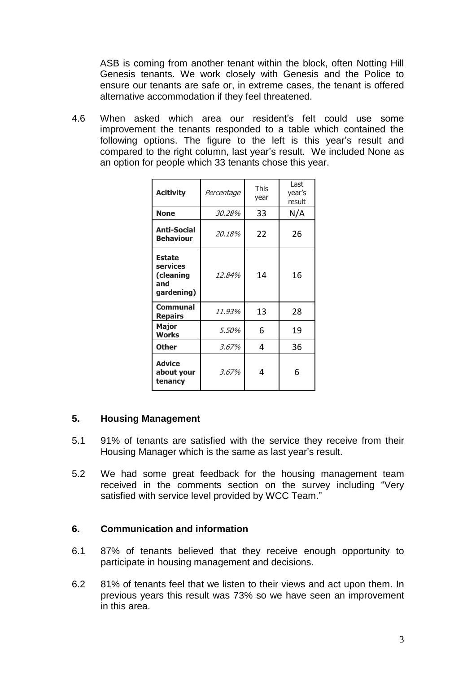ASB is coming from another tenant within the block, often Notting Hill Genesis tenants. We work closely with Genesis and the Police to ensure our tenants are safe or, in extreme cases, the tenant is offered alternative accommodation if they feel threatened.

4.6 When asked which area our resident's felt could use some improvement the tenants responded to a table which contained the following options. The figure to the left is this year's result and compared to the right column, last year's result. We included None as an option for people which 33 tenants chose this year.

| <b>Acitivity</b>                                            | Percentage | <b>This</b><br>year | Last<br>year's<br>result |
|-------------------------------------------------------------|------------|---------------------|--------------------------|
| <b>None</b>                                                 | 30.28%     | 33                  | N/A                      |
| <b>Anti-Social</b><br><b>Behaviour</b>                      | 20.18%     | 22                  | 26                       |
| <b>Estate</b><br>services<br>(cleaning<br>and<br>gardening) | 12.84%     | 14                  | 16                       |
| Communal<br><b>Repairs</b>                                  | 11.93%     | 13                  | 28                       |
| <b>Major</b><br><b>Works</b>                                | 5.50%      | 6                   | 19                       |
| <b>Other</b>                                                | 3.67%      | 4                   | 36                       |
| <b>Advice</b><br>about your<br>tenancy                      | 3.67%      | 4                   | 6                        |

#### **5. Housing Management**

- 5.1 91% of tenants are satisfied with the service they receive from their Housing Manager which is the same as last year's result.
- 5.2 We had some great feedback for the housing management team received in the comments section on the survey including "Very satisfied with service level provided by WCC Team."

#### **6. Communication and information**

- 6.1 87% of tenants believed that they receive enough opportunity to participate in housing management and decisions.
- 6.2 81% of tenants feel that we listen to their views and act upon them. In previous years this result was 73% so we have seen an improvement in this area.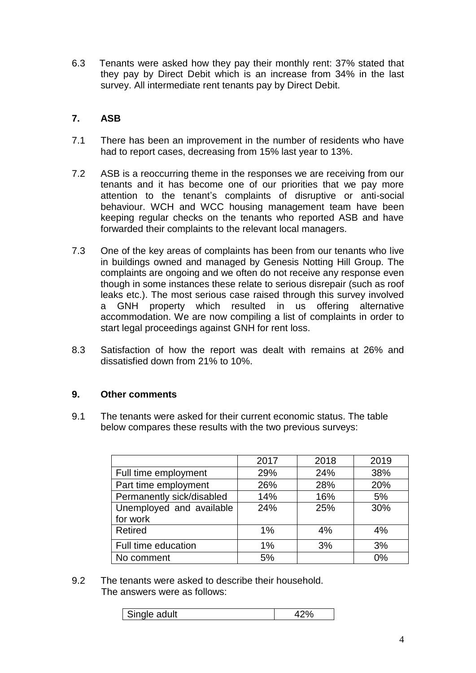6.3 Tenants were asked how they pay their monthly rent: 37% stated that they pay by Direct Debit which is an increase from 34% in the last survey. All intermediate rent tenants pay by Direct Debit.

# **7. ASB**

- 7.1 There has been an improvement in the number of residents who have had to report cases, decreasing from 15% last year to 13%.
- 7.2 ASB is a reoccurring theme in the responses we are receiving from our tenants and it has become one of our priorities that we pay more attention to the tenant's complaints of disruptive or anti-social behaviour. WCH and WCC housing management team have been keeping regular checks on the tenants who reported ASB and have forwarded their complaints to the relevant local managers.
- 7.3 One of the key areas of complaints has been from our tenants who live in buildings owned and managed by Genesis Notting Hill Group. The complaints are ongoing and we often do not receive any response even though in some instances these relate to serious disrepair (such as roof leaks etc.). The most serious case raised through this survey involved a GNH property which resulted in us offering alternative accommodation. We are now compiling a list of complaints in order to start legal proceedings against GNH for rent loss.
- 8.3 Satisfaction of how the report was dealt with remains at 26% and dissatisfied down from 21% to 10%.

# **9. Other comments**

9.1 The tenants were asked for their current economic status. The table below compares these results with the two previous surveys:

|                           | 2017 | 2018 | 2019 |
|---------------------------|------|------|------|
| Full time employment      | 29%  | 24%  | 38%  |
| Part time employment      | 26%  | 28%  | 20%  |
| Permanently sick/disabled | 14%  | 16%  | 5%   |
| Unemployed and available  | 24%  | 25%  | 30%  |
| for work                  |      |      |      |
| Retired                   | 1%   | 4%   | 4%   |
| Full time education       | 1%   | 3%   | 3%   |
| No comment                | 5%   |      | 0%   |

#### 9.2 The tenants were asked to describe their household. The answers were as follows:

| dult |  |
|------|--|
|      |  |